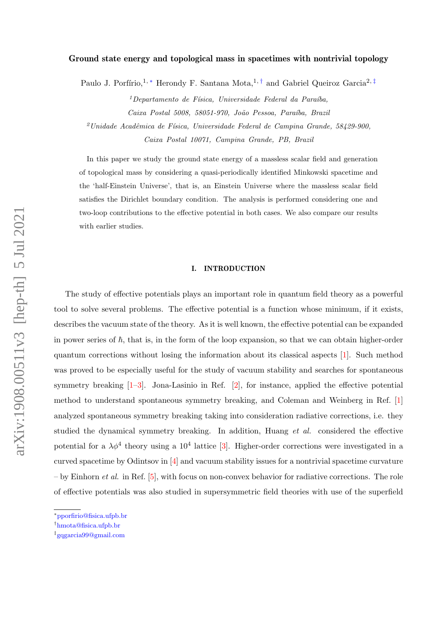## Ground state energy and topological mass in spacetimes with nontrivial topology

Paulo J. Porfírio,<sup>1, [∗](#page-0-0)</sup> Herondy F. Santana Mota,<sup>1,[†](#page-0-1)</sup> and Gabriel Queiroz Garcia<sup>2,[‡](#page-0-2)</sup>

 $1$ Departamento de Física, Universidade Federal da Paraíba, Caixa Postal 5008, 58051-970, João Pessoa, Paraíba, Brazil  $^{2}$ Unidade Acadêmica de Física, Universidade Federal de Campina Grande, 58429-900, Caixa Postal 10071, Campina Grande, PB, Brazil

In this paper we study the ground state energy of a massless scalar field and generation of topological mass by considering a quasi-periodically identified Minkowski spacetime and the 'half-Einstein Universe', that is, an Einstein Universe where the massless scalar field satisfies the Dirichlet boundary condition. The analysis is performed considering one and two-loop contributions to the effective potential in both cases. We also compare our results with earlier studies.

## I. INTRODUCTION

The study of effective potentials plays an important role in quantum field theory as a powerful tool to solve several problems. The effective potential is a function whose minimum, if it exists, describes the vacuum state of the theory. As it is well known, the effective potential can be expanded in power series of  $\hbar$ , that is, in the form of the loop expansion, so that we can obtain higher-order quantum corrections without losing the information about its classical aspects [\[1\]](#page-14-0). Such method was proved to be especially useful for the study of vacuum stability and searches for spontaneous symmetry breaking  $[1-3]$  $[1-3]$ . Jona-Lasinio in Ref.  $[2]$ , for instance, applied the effective potential method to understand spontaneous symmetry breaking, and Coleman and Weinberg in Ref. [\[1\]](#page-14-0) analyzed spontaneous symmetry breaking taking into consideration radiative corrections, i.e. they studied the dynamical symmetry breaking. In addition, Huang et al. considered the effective potential for a  $\lambda \phi^4$  theory using a 10<sup>4</sup> lattice [\[3\]](#page-14-1). Higher-order corrections were investigated in a curved spacetime by Odintsov in [\[4\]](#page-14-3) and vacuum stability issues for a nontrivial spacetime curvature  $-$  by Einhorn *et al.* in Ref. [\[5\]](#page-14-4), with focus on non-convex behavior for radiative corrections. The role of effective potentials was also studied in supersymmetric field theories with use of the superfield

<span id="page-0-1"></span><span id="page-0-0"></span><sup>∗</sup>[pporfirio@fisica.ufpb.br](mailto:pporfirio@fisica.ufpb.br)

<span id="page-0-2"></span><sup>†</sup>[hmota@fisica.ufpb.br](mailto:hmota@fisica.ufpb.br)

<sup>‡</sup> [gqgarcia99@gmail.com](mailto:gqgarcia99@gmail.com)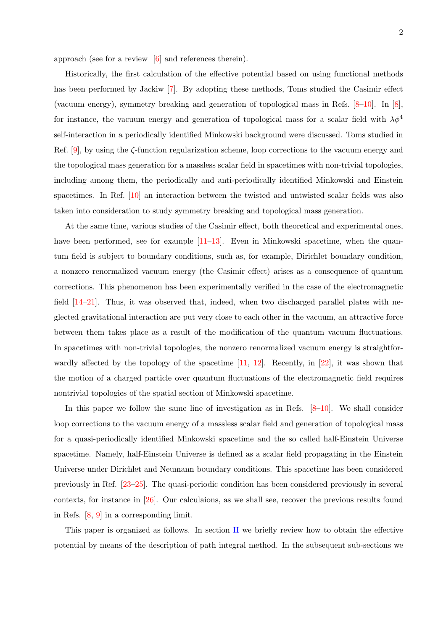approach (see for a review [\[6\]](#page-14-5) and references therein).

Historically, the first calculation of the effective potential based on using functional methods has been performed by Jackiw [\[7\]](#page-14-6). By adopting these methods, Toms studied the Casimir effect (vacuum energy), symmetry breaking and generation of topological mass in Refs. [\[8–](#page-14-7)[10\]](#page-14-8). In [\[8\]](#page-14-7), for instance, the vacuum energy and generation of topological mass for a scalar field with  $\lambda \phi^4$ self-interaction in a periodically identified Minkowski background were discussed. Toms studied in Ref.  $[9]$ , by using the  $\zeta$ -function regularization scheme, loop corrections to the vacuum energy and the topological mass generation for a massless scalar field in spacetimes with non-trivial topologies, including among them, the periodically and anti-periodically identified Minkowski and Einstein spacetimes. In Ref. [\[10\]](#page-14-8) an interaction between the twisted and untwisted scalar fields was also taken into consideration to study symmetry breaking and topological mass generation.

At the same time, various studies of the Casimir effect, both theoretical and experimental ones, have been performed, see for example  $[11-13]$  $[11-13]$ . Even in Minkowski spacetime, when the quantum field is subject to boundary conditions, such as, for example, Dirichlet boundary condition, a nonzero renormalized vacuum energy (the Casimir effect) arises as a consequence of quantum corrections. This phenomenon has been experimentally verified in the case of the electromagnetic field  $[14–21]$  $[14–21]$ . Thus, it was observed that, indeed, when two discharged parallel plates with neglected gravitational interaction are put very close to each other in the vacuum, an attractive force between them takes place as a result of the modification of the quantum vacuum fluctuations. In spacetimes with non-trivial topologies, the nonzero renormalized vacuum energy is straightforwardly affected by the topology of the spacetime [\[11,](#page-14-10) [12\]](#page-14-11). Recently, in [\[22\]](#page-15-3), it was shown that the motion of a charged particle over quantum fluctuations of the electromagnetic field requires nontrivial topologies of the spatial section of Minkowski spacetime.

In this paper we follow the same line of investigation as in Refs.  $[8-10]$  $[8-10]$ . We shall consider loop corrections to the vacuum energy of a massless scalar field and generation of topological mass for a quasi-periodically identified Minkowski spacetime and the so called half-Einstein Universe spacetime. Namely, half-Einstein Universe is defined as a scalar field propagating in the Einstein Universe under Dirichlet and Neumann boundary conditions. This spacetime has been considered previously in Ref. [\[23](#page-15-4)[–25\]](#page-15-5). The quasi-periodic condition has been considered previously in several contexts, for instance in [\[26\]](#page-15-6). Our calculaions, as we shall see, recover the previous results found in Refs. [\[8,](#page-14-7) [9\]](#page-14-9) in a corresponding limit.

This paper is organized as follows. In section [II](#page-2-0) we briefly review how to obtain the effective potential by means of the description of path integral method. In the subsequent sub-sections we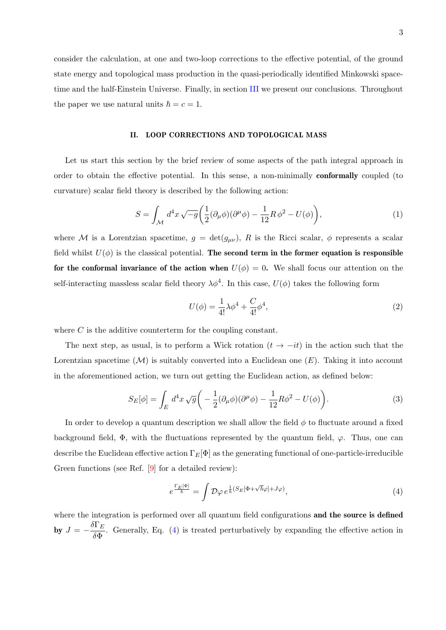consider the calculation, at one and two-loop corrections to the effective potential, of the ground state energy and topological mass production in the quasi-periodically identified Minkowski spacetime and the half-Einstein Universe. Finally, in section [III](#page-13-0) we present our conclusions. Throughout the paper we use natural units  $\hbar = c = 1$ .

# <span id="page-2-0"></span>II. LOOP CORRECTIONS AND TOPOLOGICAL MASS

Let us start this section by the brief review of some aspects of the path integral approach in order to obtain the effective potential. In this sense, a non-minimally conformally coupled (to curvature) scalar field theory is described by the following action:

$$
S = \int_{\mathcal{M}} d^4x \sqrt{-g} \left( \frac{1}{2} (\partial_{\mu} \phi)(\partial^{\mu} \phi) - \frac{1}{12} R \phi^2 - U(\phi) \right), \tag{1}
$$

where M is a Lorentzian spacetime,  $g = \det(g_{\mu\nu})$ , R is the Ricci scalar,  $\phi$  represents a scalar field whilst  $U(\phi)$  is the classical potential. The second term in the former equation is responsible for the conformal invariance of the action when  $U(\phi) = 0$ . We shall focus our attention on the self-interacting massless scalar field theory  $\lambda \phi^4$ . In this case,  $U(\phi)$  takes the following form

$$
U(\phi) = \frac{1}{4!} \lambda \phi^4 + \frac{C}{4!} \phi^4,
$$
\n(2)

where  $C$  is the additive counterterm for the coupling constant.

The next step, as usual, is to perform a Wick rotation  $(t \rightarrow -it)$  in the action such that the Lorentzian spacetime  $(M)$  is suitably converted into a Euclidean one  $(E)$ . Taking it into account in the aforementioned action, we turn out getting the Euclidean action, as defined below:

$$
S_E[\phi] = \int_E d^4x \sqrt{g} \left( -\frac{1}{2} (\partial_\mu \phi)(\partial^\mu \phi) - \frac{1}{12} R \phi^2 - U(\phi) \right). \tag{3}
$$

In order to develop a quantum description we shall allow the field  $\phi$  to fluctuate around a fixed background field,  $\Phi$ , with the fluctuations represented by the quantum field,  $\varphi$ . Thus, one can describe the Euclidean effective action  $\Gamma_E[\Phi]$  as the generating functional of one-particle-irreducible Green functions (see Ref. [\[9\]](#page-14-9) for a detailed review):

<span id="page-2-1"></span>
$$
e^{\frac{\Gamma_E[\Phi]}{\hbar}} = \int \mathcal{D}\varphi \, e^{\frac{1}{\hbar}(S_E[\Phi + \sqrt{\hbar}\varphi] + J\varphi)}, \tag{4}
$$

where the integration is performed over all quantum field configurations and the source is defined by  $J = -\frac{\delta \Gamma_E}{\delta \Sigma}$  $\frac{\partial^2 E}{\partial \Phi}$ . Generally, Eq. [\(4\)](#page-2-1) is treated perturbatively by expanding the effective action in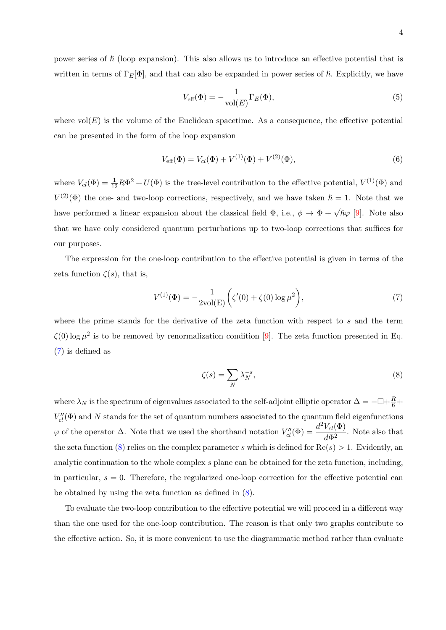power series of  $\hbar$  (loop expansion). This also allows us to introduce an effective potential that is written in terms of  $\Gamma_E[\Phi]$ , and that can also be expanded in power series of  $\hbar$ . Explicitly, we have

$$
V_{\text{eff}}(\Phi) = -\frac{1}{\text{vol}(E)} \Gamma_E(\Phi),\tag{5}
$$

where  $vol(E)$  is the volume of the Euclidean spacetime. As a consequence, the effective potential can be presented in the form of the loop expansion

$$
V_{\text{eff}}(\Phi) = V_{cl}(\Phi) + V^{(1)}(\Phi) + V^{(2)}(\Phi), \tag{6}
$$

where  $V_{cl}(\Phi) = \frac{1}{12}R\Phi^2 + U(\Phi)$  is the tree-level contribution to the effective potential,  $V^{(1)}(\Phi)$  and  $V^{(2)}(\Phi)$  the one- and two-loop corrections, respectively, and we have taken  $\hbar = 1$ . Note that we have performed a linear expansion about the classical field  $\Phi$ , i.e.,  $\phi \to \Phi + \sqrt{\hbar} \varphi$  [\[9\]](#page-14-9). Note also that we have only considered quantum perturbations up to two-loop corrections that suffices for our purposes.

The expression for the one-loop contribution to the effective potential is given in terms of the zeta function  $\zeta(s)$ , that is,

<span id="page-3-0"></span>
$$
V^{(1)}(\Phi) = -\frac{1}{2\text{vol}(E)} \left( \zeta'(0) + \zeta(0) \log \mu^2 \right),\tag{7}
$$

where the prime stands for the derivative of the zeta function with respect to s and the term  $\zeta(0)$  log  $\mu^2$  is to be removed by renormalization condition [\[9\]](#page-14-9). The zeta function presented in Eq. [\(7\)](#page-3-0) is defined as

<span id="page-3-1"></span>
$$
\zeta(s) = \sum_{N} \lambda_N^{-s},\tag{8}
$$

where  $\lambda_N$  is the spectrum of eigenvalues associated to the self-adjoint elliptic operator  $\Delta = -\Box + \frac{R}{6} + \frac{R}{3}$  $V''_{cl}(\Phi)$  and N stands for the set of quantum numbers associated to the quantum field eigenfunctions  $\varphi$  of the operator Δ. Note that we used the shorthand notation  $V''_{cl}(\Phi) = \frac{d^2 V_{cl}(\Phi)}{d\Phi^2}$  $\frac{r_a(x)}{d\Phi^2}$ . Note also that the zeta function [\(8\)](#page-3-1) relies on the complex parameter s which is defined for  $\text{Re}(s) > 1$ . Evidently, an analytic continuation to the whole complex s plane can be obtained for the zeta function, including, in particular,  $s = 0$ . Therefore, the regularized one-loop correction for the effective potential can be obtained by using the zeta function as defined in [\(8\)](#page-3-1).

To evaluate the two-loop contribution to the effective potential we will proceed in a different way than the one used for the one-loop contribution. The reason is that only two graphs contribute to the effective action. So, it is more convenient to use the diagrammatic method rather than evaluate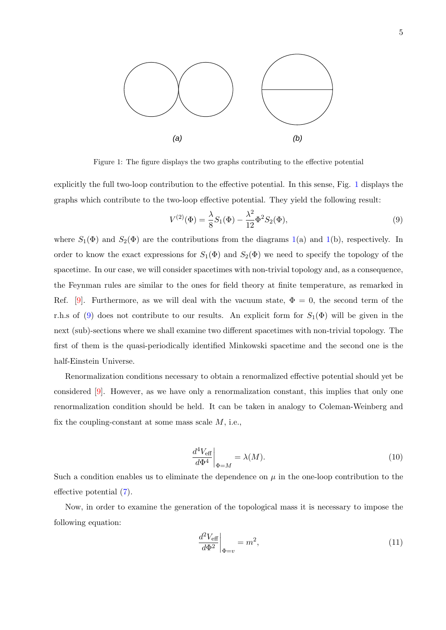

<span id="page-4-0"></span>Figure 1: The figure displays the two graphs contributing to the effective potential

explicitly the full two-loop contribution to the effective potential. In this sense, Fig. [1](#page-4-0) displays the graphs which contribute to the two-loop effective potential. They yield the following result:

<span id="page-4-1"></span>
$$
V^{(2)}(\Phi) = \frac{\lambda}{8}S_1(\Phi) - \frac{\lambda^2}{12}\Phi^2 S_2(\Phi),\tag{9}
$$

where  $S_1(\Phi)$  $S_1(\Phi)$  $S_1(\Phi)$  and  $S_2(\Phi)$  are the contributions from the diagrams 1(a) and 1(b), respectively. In order to know the exact expressions for  $S_1(\Phi)$  and  $S_2(\Phi)$  we need to specify the topology of the spacetime. In our case, we will consider spacetimes with non-trivial topology and, as a consequence, the Feynman rules are similar to the ones for field theory at finite temperature, as remarked in Ref. [\[9\]](#page-14-9). Furthermore, as we will deal with the vacuum state,  $\Phi = 0$ , the second term of the r.h.s of [\(9\)](#page-4-1) does not contribute to our results. An explicit form for  $S_1(\Phi)$  will be given in the next (sub)-sections where we shall examine two different spacetimes with non-trivial topology. The first of them is the quasi-periodically identified Minkowski spacetime and the second one is the half-Einstein Universe.

Renormalization conditions necessary to obtain a renormalized effective potential should yet be considered [\[9\]](#page-14-9). However, as we have only a renormalization constant, this implies that only one renormalization condition should be held. It can be taken in analogy to Coleman-Weinberg and fix the coupling-constant at some mass scale  $M$ , i.e.,

<span id="page-4-3"></span>
$$
\left. \frac{d^4 V_{\text{eff}}}{d\Phi^4} \right|_{\Phi = M} = \lambda(M). \tag{10}
$$

Such a condition enables us to eliminate the dependence on  $\mu$  in the one-loop contribution to the effective potential [\(7\)](#page-3-0).

Now, in order to examine the generation of the topological mass it is necessary to impose the following equation:

<span id="page-4-2"></span>
$$
\left. \frac{d^2 V_{\text{eff}}}{d\Phi^2} \right|_{\Phi = v} = m^2,\tag{11}
$$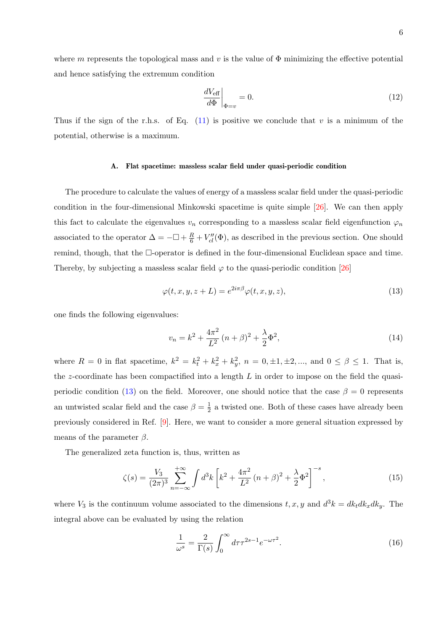$$
\left. \frac{dV_{\text{eff}}}{d\Phi} \right|_{\Phi=v} = 0. \tag{12}
$$

Thus if the sign of the r.h.s. of Eq.  $(11)$  is positive we conclude that v is a minimum of the potential, otherwise is a maximum.

## A. Flat spacetime: massless scalar field under quasi-periodic condition

The procedure to calculate the values of energy of a massless scalar field under the quasi-periodic condition in the four-dimensional Minkowski spacetime is quite simple [\[26\]](#page-15-6). We can then apply this fact to calculate the eigenvalues  $v_n$  corresponding to a massless scalar field eigenfunction  $\varphi_n$ associated to the operator  $\Delta = -\Box + \frac{R}{6} + V''_{cl}(\Phi)$ , as described in the previous section. One should remind, though, that the  $\Box$ -operator is defined in the four-dimensional Euclidean space and time. Thereby, by subjecting a massless scalar field  $\varphi$  to the quasi-periodic condition [\[26\]](#page-15-6)

<span id="page-5-0"></span>
$$
\varphi(t, x, y, z + L) = e^{2i\pi\beta} \varphi(t, x, y, z), \qquad (13)
$$

one finds the following eigenvalues:

$$
v_n = k^2 + \frac{4\pi^2}{L^2} (n+\beta)^2 + \frac{\lambda}{2} \Phi^2,
$$
\n(14)

where  $R = 0$  in flat spacetime,  $k^2 = k_t^2 + k_x^2 + k_y^2$ ,  $n = 0, \pm 1, \pm 2, \dots$ , and  $0 \le \beta \le 1$ . That is, the z-coordinate has been compactified into a length  $L$  in order to impose on the field the quasi-periodic condition [\(13\)](#page-5-0) on the field. Moreover, one should notice that the case  $\beta = 0$  represents an untwisted scalar field and the case  $\beta = \frac{1}{2}$  $\frac{1}{2}$  a twisted one. Both of these cases have already been previously considered in Ref. [\[9\]](#page-14-9). Here, we want to consider a more general situation expressed by means of the parameter  $\beta$ .

The generalized zeta function is, thus, written as

$$
\zeta(s) = \frac{V_3}{(2\pi)^3} \sum_{n=-\infty}^{+\infty} \int d^3k \left[ k^2 + \frac{4\pi^2}{L^2} (n+\beta)^2 + \frac{\lambda}{2} \Phi^2 \right]^{-s},\tag{15}
$$

where  $V_3$  is the continuum volume associated to the dimensions  $t, x, y$  and  $d^3k = dk_t dk_x dk_y$ . The integral above can be evaluated by using the relation

<span id="page-5-1"></span>
$$
\frac{1}{\omega^s} = \frac{2}{\Gamma(s)} \int_0^\infty d\tau \tau^{2s-1} e^{-\omega \tau^2}.
$$
\n(16)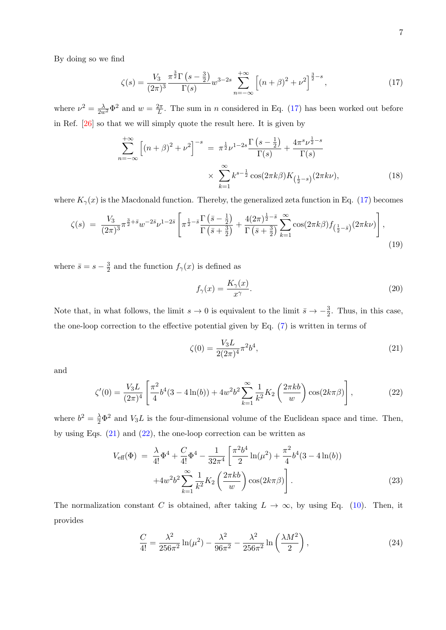By doing so we find

<span id="page-6-0"></span>
$$
\zeta(s) = \frac{V_3}{(2\pi)^3} \frac{\pi^{\frac{3}{2}} \Gamma\left(s - \frac{3}{2}\right)}{\Gamma(s)} w^{3-2s} \sum_{n = -\infty}^{+\infty} \left[ \left(n + \beta\right)^2 + \nu^2 \right]^{\frac{3}{2} - s},\tag{17}
$$

where  $\nu^2 = \frac{\lambda}{2w^2} \Phi^2$  and  $w = \frac{2\pi}{L}$  $\frac{2\pi}{L}$ . The sum in *n* considered in Eq. [\(17\)](#page-6-0) has been worked out before in Ref. [\[26\]](#page-15-6) so that we will simply quote the result here. It is given by

$$
\sum_{n=-\infty}^{+\infty} \left[ (n+\beta)^2 + \nu^2 \right]^{-s} = \pi^{\frac{1}{2}} \nu^{1-2s} \frac{\Gamma\left(s-\frac{1}{2}\right)}{\Gamma(s)} + \frac{4\pi^s \nu^{\frac{1}{2}-s}}{\Gamma(s)}
$$

$$
\times \sum_{k=1}^{\infty} k^{s-\frac{1}{2}} \cos(2\pi k\beta) K_{\left(\frac{1}{2}-s\right)}(2\pi k\nu), \tag{18}
$$

where  $K_{\gamma}(x)$  is the Macdonald function. Thereby, the generalized zeta function in Eq. [\(17\)](#page-6-0) becomes

<span id="page-6-4"></span>
$$
\zeta(s) = \frac{V_3}{(2\pi)^3} \pi^{\frac{3}{2} + \bar{s}} w^{-2\bar{s}} \nu^{1-2\bar{s}} \left[ \pi^{\frac{1}{2} - \bar{s}} \frac{\Gamma\left(\bar{s} - \frac{1}{2}\right)}{\Gamma\left(\bar{s} + \frac{3}{2}\right)} + \frac{4(2\pi)^{\frac{1}{2} - \bar{s}}}{\Gamma\left(\bar{s} + \frac{3}{2}\right)} \sum_{k=1}^{\infty} \cos(2\pi k \beta) f_{\left(\frac{1}{2} - \bar{s}\right)}(2\pi k \nu) \right],\tag{19}
$$

where  $\bar{s} = s - \frac{3}{2}$  $\frac{3}{2}$  and the function  $f_{\gamma}(x)$  is defined as

<span id="page-6-5"></span>
$$
f_{\gamma}(x) = \frac{K_{\gamma}(x)}{x^{\gamma}}.
$$
\n(20)

Note that, in what follows, the limit  $s \to 0$  is equivalent to the limit  $\bar{s} \to -\frac{3}{2}$ . Thus, in this case, the one-loop correction to the effective potential given by Eq. [\(7\)](#page-3-0) is written in terms of

<span id="page-6-1"></span>
$$
\zeta(0) = \frac{V_3 L}{2(2\pi)^4} \pi^2 b^4,\tag{21}
$$

and

<span id="page-6-2"></span>
$$
\zeta'(0) = \frac{V_3 L}{(2\pi)^4} \left[ \frac{\pi^2}{4} b^4 (3 - 4\ln(b)) + 4w^2 b^2 \sum_{k=1}^{\infty} \frac{1}{k^2} K_2 \left( \frac{2\pi k b}{w} \right) \cos(2k\pi\beta) \right],
$$
 (22)

where  $b^2 = \frac{\lambda}{2} \Phi^2$  and  $V_3 L$  is the four-dimensional volume of the Euclidean space and time. Then, by using Eqs.  $(21)$  and  $(22)$ , the one-loop correction can be written as

<span id="page-6-3"></span>
$$
V_{\text{eff}}(\Phi) = \frac{\lambda}{4!} \Phi^4 + \frac{C}{4!} \Phi^4 - \frac{1}{32\pi^4} \left[ \frac{\pi^2 b^4}{2} \ln(\mu^2) + \frac{\pi^2}{4} b^4 (3 - 4 \ln(b)) + 4w^2 b^2 \sum_{k=1}^{\infty} \frac{1}{k^2} K_2 \left( \frac{2\pi k b}{w} \right) \cos(2k\pi\beta) \right].
$$
 (23)

The normalization constant C is obtained, after taking  $L \to \infty$ , by using Eq. [\(10\)](#page-4-3). Then, it provides

$$
\frac{C}{4!} = \frac{\lambda^2}{256\pi^2} \ln(\mu^2) - \frac{\lambda^2}{96\pi^2} - \frac{\lambda^2}{256\pi^2} \ln\left(\frac{\lambda M^2}{2}\right),\tag{24}
$$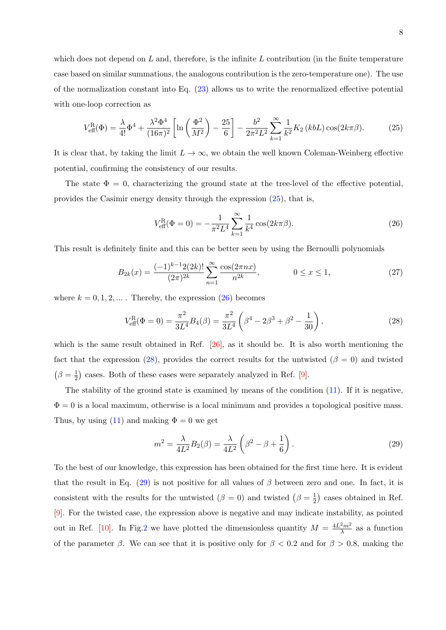which does not depend on  $L$  and, therefore, is the infinite  $L$  contribution (in the finite temperature case based on similar summations, the analogous contribution is the zero-temperature one). The use of the normalization constant into Eq. [\(23\)](#page-6-3) allows us to write the renormalized effective potential with one-loop correction as

<span id="page-7-0"></span>
$$
V_{\text{eff}}^{\text{R}}(\Phi) = \frac{\lambda}{4!} \Phi^4 + \frac{\lambda^2 \Phi^4}{(16\pi)^2} \left[ \ln \left( \frac{\Phi^2}{M^2} \right) - \frac{25}{6} \right] - \frac{b^2}{2\pi^2 L^2} \sum_{k=1}^{\infty} \frac{1}{k^2} K_2(kbL) \cos(2k\pi\beta). \tag{25}
$$

It is clear that, by taking the limit  $L \to \infty$ , we obtain the well known Coleman-Weinberg effective potential, confirming the consistency of our results.

The state  $\Phi = 0$ , characterizing the ground state at the tree-level of the effective potential, provides the Casimir energy density through the expression [\(25\)](#page-7-0), that is,

<span id="page-7-1"></span>
$$
V_{\text{eff}}^{\text{R}}(\Phi = 0) = -\frac{1}{\pi^2 L^4} \sum_{k=1}^{\infty} \frac{1}{k^4} \cos(2k\pi\beta).
$$
 (26)

This result is definitely finite and this can be better seen by using the Bernoulli polynomials

$$
B_{2k}(x) = \frac{(-1)^{k-1} 2(2k)!}{(2\pi)^{2k}} \sum_{n=1}^{\infty} \frac{\cos(2\pi nx)}{n^{2k}}, \qquad 0 \le x \le 1,
$$
 (27)

where  $k = 0, 1, 2, \dots$ . Thereby, the expression  $(26)$  becomes

<span id="page-7-2"></span>
$$
V_{\text{eff}}^{\text{R}}(\Phi = 0) = \frac{\pi^2}{3L^4} B_4(\beta) = \frac{\pi^2}{3L^4} \left(\beta^4 - 2\beta^3 + \beta^2 - \frac{1}{30}\right),\tag{28}
$$

which is the same result obtained in Ref. [\[26\]](#page-15-6), as it should be. It is also worth mentioning the fact that the expression [\(28\)](#page-7-2), provides the correct results for the untwisted ( $\beta = 0$ ) and twisted  $(\beta = \frac{1}{2})$  $\frac{1}{2}$ ) cases. Both of these cases were separately analyzed in Ref. [\[9\]](#page-14-9).

The stability of the ground state is examined by means of the condition [\(11\)](#page-4-2). If it is negative,  $\Phi = 0$  is a local maximum, otherwise is a local minimum and provides a topological positive mass. Thus, by using [\(11\)](#page-4-2) and making  $\Phi = 0$  we get

<span id="page-7-3"></span>
$$
m^{2} = \frac{\lambda}{4L^{2}} B_{2}(\beta) = \frac{\lambda}{4L^{2}} \left(\beta^{2} - \beta + \frac{1}{6}\right).
$$
 (29)

To the best of our knowledge, this expression has been obtained for the first time here. It is evident that the result in Eq. [\(29\)](#page-7-3) is not positive for all values of  $\beta$  between zero and one. In fact, it is consistent with the results for the untwisted  $(\beta = 0)$  and twisted  $(\beta = \frac{1}{2})$  $(\frac{1}{2})$  cases obtained in Ref. [\[9\]](#page-14-9). For the twisted case, the expression above is negative and may indicate instability, as pointed out in Ref. [\[10\]](#page-14-8). In Fig[.2](#page-8-0) we have plotted the dimensionless quantity  $M = \frac{4L^2m^2}{\lambda}$  $\frac{2m^2}{\lambda}$  as a function of the parameter  $\beta$ . We can see that it is positive only for  $\beta < 0.2$  and for  $\beta > 0.8$ , making the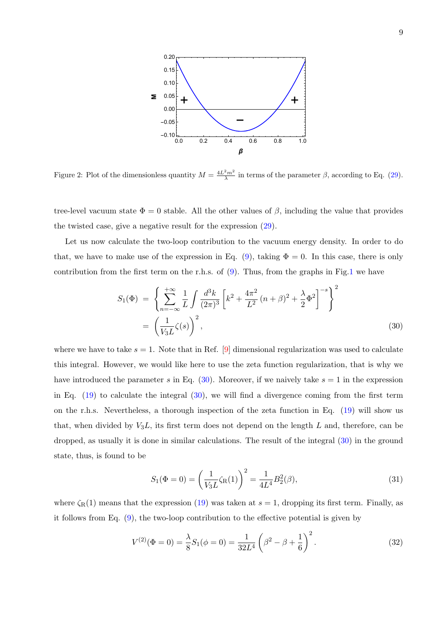

<span id="page-8-0"></span>Figure 2: Plot of the dimensionless quantity  $M = \frac{4L^2m^2}{\lambda}$  in terms of the parameter  $\beta$ , according to Eq. [\(29\)](#page-7-3).

 $\mathsf{A}$  and  $\mathsf{A}$  in the other values of  $\beta$  inclu the twisted case, give a negative result for the expression  $(29)$ . tree-level vacuum state  $\Phi = 0$  stable. All the other values of  $\beta$ , including the value that provides

 $\mathbf{1}$ Let us now calculate the two-loop contribution to the vacuum energy density. In order to do that, we have to make use of the expression in Eq. [\(9\)](#page-4-1), taking  $\Phi = 0$ . In this case, there is only contribution from the first term on the r.h.s. of [\(9\)](#page-4-1). Thus, from the graphs in Fig[.1](#page-4-0) we have

<span id="page-8-1"></span>
$$
S_1(\Phi) = \left\{ \sum_{n=-\infty}^{+\infty} \frac{1}{L} \int \frac{d^3k}{(2\pi)^3} \left[ k^2 + \frac{4\pi^2}{L^2} (n+\beta)^2 + \frac{\lambda}{2} \Phi^2 \right]^{-s} \right\}^2
$$
  
=  $\left( \frac{1}{V_3 L} \zeta(s) \right)^2$ , (30)

where we have to take  $s = 1$ . Note that in Ref. [\[9\]](#page-14-9) dimensional regularization was used to calculate this integral. However, we would like here to use the zeta function regularization, that is why we have introduced the parameter s in Eq.  $(30)$ . Moreover, if we naively take  $s = 1$  in the expression in Eq.  $(19)$  to calculate the integral  $(30)$ , we will find a divergence coming from the first term on the r.h.s. Nevertheless, a thorough inspection of the zeta function in Eq. [\(19\)](#page-6-4) will show us that, when divided by  $V_3L$ , its first term does not depend on the length L and, therefore, can be dropped, as usually it is done in similar calculations. The result of the integral [\(30\)](#page-8-1) in the ground state, thus, is found to be

$$
S_1(\Phi = 0) = \left(\frac{1}{V_3 L} \zeta_R(1)\right)^2 = \frac{1}{4L^4} B_2^2(\beta),\tag{31}
$$

where  $\zeta_R(1)$  means that the expression [\(19\)](#page-6-4) was taken at  $s = 1$ , dropping its first term. Finally, as it follows from Eq. [\(9\)](#page-4-1), the two-loop contribution to the effective potential is given by

$$
V^{(2)}(\Phi = 0) = \frac{\lambda}{8} S_1(\phi = 0) = \frac{1}{32L^4} \left(\beta^2 - \beta + \frac{1}{6}\right)^2.
$$
 (32)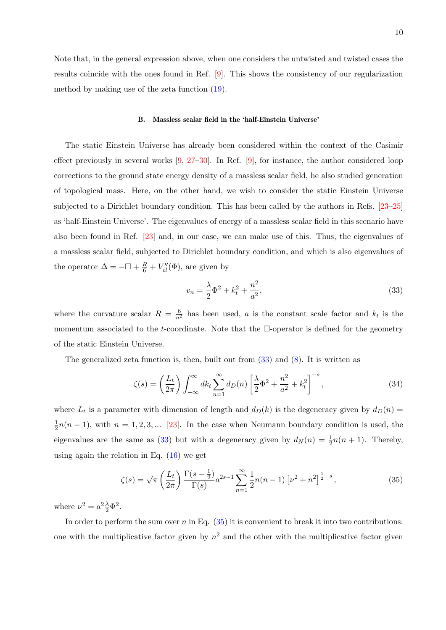Note that, in the general expression above, when one considers the untwisted and twisted cases the results coincide with the ones found in Ref. [\[9\]](#page-14-9). This shows the consistency of our regularization method by making use of the zeta function [\(19\)](#page-6-4).

#### B. Massless scalar field in the 'half-Einstein Universe'

The static Einstein Universe has already been considered within the context of the Casimir effect previously in several works  $(9, 27-30)$ . In Ref.  $(9)$ , for instance, the author considered loop corrections to the ground state energy density of a massless scalar field, he also studied generation of topological mass. Here, on the other hand, we wish to consider the static Einstein Universe subjected to a Dirichlet boundary condition. This has been called by the authors in Refs. [\[23–](#page-15-4)[25\]](#page-15-5) as 'half-Einstein Universe'. The eigenvalues of energy of a massless scalar field in this scenario have also been found in Ref. [\[23\]](#page-15-4) and, in our case, we can make use of this. Thus, the eigenvalues of a massless scalar field, subjected to Dirichlet boundary condition, and which is also eigenvalues of the operator  $\Delta = -\Box + \frac{R}{6} + V''_{cl}(\Phi)$ , are given by

<span id="page-9-0"></span>
$$
v_n = \frac{\lambda}{2} \Phi^2 + k_t^2 + \frac{n^2}{a^2},\tag{33}
$$

where the curvature scalar  $R = \frac{6}{65}$  $\frac{6}{a^2}$  has been used, a is the constant scale factor and  $k_t$  is the momentum associated to the t-coordinate. Note that the  $\Box$ -operator is defined for the geometry of the static Einstein Universe.

The generalized zeta function is, then, built out from [\(33\)](#page-9-0) and [\(8\)](#page-3-1). It is written as

$$
\zeta(s) = \left(\frac{L_t}{2\pi}\right) \int_{-\infty}^{\infty} dk_t \sum_{n=1}^{\infty} d_D(n) \left[\frac{\lambda}{2} \Phi^2 + \frac{n^2}{a^2} + k_t^2\right]^{-s},\tag{34}
$$

where  $L_t$  is a parameter with dimension of length and  $d_D(k)$  is the degeneracy given by  $d_D(n)$ 1  $\frac{1}{2}n(n-1)$ , with  $n = 1, 2, 3, ...$  [\[23\]](#page-15-4). In the case when Neumann boundary condition is used, the eigenvalues are the same as [\(33\)](#page-9-0) but with a degeneracy given by  $d_N(n) = \frac{1}{2}n(n+1)$ . Thereby, using again the relation in Eq.  $(16)$  we get

<span id="page-9-1"></span>
$$
\zeta(s) = \sqrt{\pi} \left( \frac{L_t}{2\pi} \right) \frac{\Gamma(s - \frac{1}{2})}{\Gamma(s)} a^{2s - 1} \sum_{n=1}^{\infty} \frac{1}{2} n(n-1) \left[ \nu^2 + n^2 \right]^{\frac{1}{2} - s},\tag{35}
$$

where  $\nu^2 = a^2 \frac{\lambda}{2} \Phi^2$ .

In order to perform the sum over n in Eq.  $(35)$  it is convenient to break it into two contributions: one with the multiplicative factor given by  $n^2$  and the other with the multiplicative factor given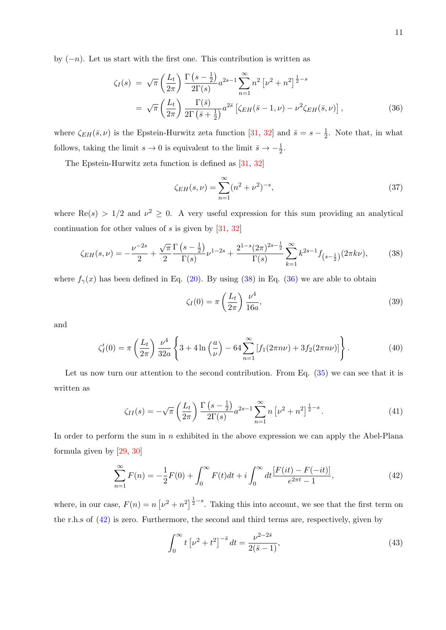by  $(-n)$ . Let us start with the first one. This contribution is written as

<span id="page-10-1"></span>
$$
\zeta_I(s) = \sqrt{\pi} \left( \frac{L_t}{2\pi} \right) \frac{\Gamma\left(s - \frac{1}{2}\right)}{2\Gamma(s)} a^{2s-1} \sum_{n=1}^{\infty} n^2 \left[ \nu^2 + n^2 \right]^{\frac{1}{2} - s} \n= \sqrt{\pi} \left( \frac{L_t}{2\pi} \right) \frac{\Gamma(\bar{s})}{2\Gamma\left(\bar{s} + \frac{1}{2}\right)} a^{2\bar{s}} \left[ \zeta_{EH}(\bar{s} - 1, \nu) - \nu^2 \zeta_{EH}(\bar{s}, \nu) \right],
$$
\n(36)

where  $\zeta_{EH}(\bar{s}, \nu)$  is the Epstein-Hurwitz zeta function [\[31,](#page-16-0) [32\]](#page-16-1) and  $\bar{s} = s - \frac{1}{2}$  $\frac{1}{2}$ . Note that, in what follows, taking the limit  $s \to 0$  is equivalent to the limit  $\bar{s} \to -\frac{1}{2}$ .

The Epstein-Hurwitz zeta function is defined as [\[31,](#page-16-0) [32\]](#page-16-1)

$$
\zeta_{EH}(s,\nu) = \sum_{n=1}^{\infty} (n^2 + \nu^2)^{-s},\tag{37}
$$

where  $\text{Re}(s) > 1/2$  and  $\nu^2 \geq 0$ . A very useful expression for this sum providing an analytical continuation for other values of  $s$  is given by  $[31, 32]$  $[31, 32]$ 

<span id="page-10-0"></span>
$$
\zeta_{EH}(s,\nu) = -\frac{\nu^{-2s}}{2} + \frac{\sqrt{\pi}}{2} \frac{\Gamma\left(s - \frac{1}{2}\right)}{\Gamma(s)} \nu^{1-2s} + \frac{2^{1-s}(2\pi)^{2s - \frac{1}{2}}}{\Gamma(s)} \sum_{k=1}^{\infty} k^{2s - 1} f_{\left(s - \frac{1}{2}\right)}(2\pi k \nu),\tag{38}
$$

where  $f_{\gamma}(x)$  has been defined in Eq. [\(20\)](#page-6-5). By using [\(38\)](#page-10-0) in Eq. [\(36\)](#page-10-1) we are able to obtain

<span id="page-10-5"></span>
$$
\zeta_I(0) = \pi \left(\frac{L_t}{2\pi}\right) \frac{\nu^4}{16a},\tag{39}
$$

and

<span id="page-10-6"></span>
$$
\zeta_I'(0) = \pi \left( \frac{L_t}{2\pi} \right) \frac{\nu^4}{32a} \left\{ 3 + 4 \ln \left( \frac{a}{\nu} \right) - 64 \sum_{n=1}^{\infty} \left[ f_1(2\pi n\nu) + 3f_2(2\pi n\nu) \right] \right\}.
$$
 (40)

Let us now turn our attention to the second contribution. From Eq.  $(35)$  we can see that it is written as

<span id="page-10-4"></span>
$$
\zeta_{II}(s) = -\sqrt{\pi} \left(\frac{L_t}{2\pi}\right) \frac{\Gamma\left(s - \frac{1}{2}\right)}{2\Gamma(s)} a^{2s-1} \sum_{n=1}^{\infty} n \left[\nu^2 + n^2\right]^{\frac{1}{2} - s}.
$$
\n(41)

In order to perform the sum in  $n$  exhibited in the above expression we can apply the Abel-Plana formula given by [\[29,](#page-15-9) [30\]](#page-15-8)

<span id="page-10-2"></span>
$$
\sum_{n=1}^{\infty} F(n) = -\frac{1}{2}F(0) + \int_0^{\infty} F(t)dt + i \int_0^{\infty} dt \frac{[F(it) - F(-it)]}{e^{2\pi t} - 1},
$$
\n(42)

where, in our case,  $F(n) = n \left[\nu^2 + n^2\right]^{\frac{1}{2} - s}$ . Taking this into account, we see that the first term on the r.h.s of [\(42\)](#page-10-2) is zero. Furthermore, the second and third terms are, respectively, given by

<span id="page-10-3"></span>
$$
\int_0^\infty t \left[ \nu^2 + t^2 \right]^{-\bar{s}} dt = \frac{\nu^{2-2\bar{s}}}{2(\bar{s}-1)},\tag{43}
$$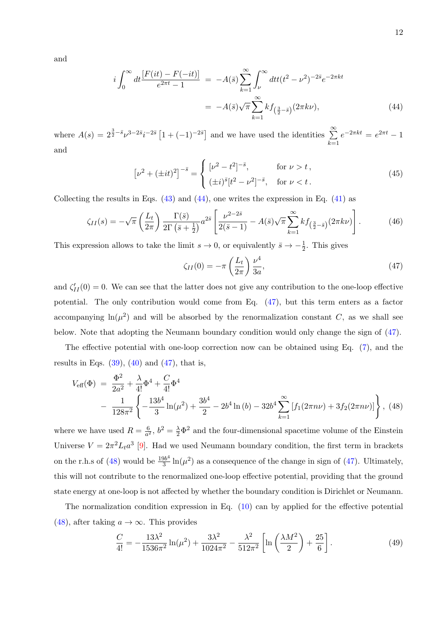and

<span id="page-11-0"></span>
$$
i\int_0^\infty dt \frac{[F(it) - F(-it)]}{e^{2\pi t} - 1} = -A(\bar{s}) \sum_{k=1}^\infty \int_\nu^\infty dt t (t^2 - \nu^2)^{-2\bar{s}} e^{-2\pi kt}
$$
  
= 
$$
-A(\bar{s}) \sqrt{\pi} \sum_{k=1}^\infty k f_{\left(\frac{3}{2} - \bar{s}\right)}(2\pi k \nu), \tag{44}
$$

where  $A(s) = 2^{\frac{3}{2} - \bar{s}}\nu^{3-2\bar{s}}i^{-2\bar{s}} [1 + (-1)^{-2\bar{s}}]$  and we have used the identities  $\sum_{n=1}^{\infty}$  $k=1$  $e^{-2\pi kt} = e^{2\pi t} - 1$ and

$$
\left[\nu^2 + (\pm it)^2\right]^{-\bar{s}} = \begin{cases} \left[\nu^2 - t^2\right]^{-\bar{s}}, & \text{for } \nu > t, \\ (\pm i)^{\bar{s}} \left[t^2 - \nu^2\right]^{-\bar{s}}, & \text{for } \nu < t. \end{cases}
$$
 (45)

Collecting the results in Eqs.  $(43)$  and  $(44)$ , one writes the expression in Eq.  $(41)$  as

<span id="page-11-3"></span>
$$
\zeta_{II}(s) = -\sqrt{\pi} \left( \frac{L_t}{2\pi} \right) \frac{\Gamma(\bar{s})}{2\Gamma(\bar{s} + \frac{1}{2})} a^{2\bar{s}} \left[ \frac{\nu^{2-2\bar{s}}}{2(\bar{s} - 1)} - A(\bar{s}) \sqrt{\pi} \sum_{k=1}^{\infty} k f_{\left( \frac{3}{2} - \bar{s} \right)} (2\pi k \nu) \right]. \tag{46}
$$

This expression allows to take the limit  $s \to 0$ , or equivalently  $\bar{s} \to -\frac{1}{2}$ . This gives

<span id="page-11-1"></span>
$$
\zeta_{II}(0) = -\pi \left(\frac{L_t}{2\pi}\right) \frac{\nu^4}{3a},\tag{47}
$$

and  $\zeta'_{II}(0) = 0$ . We can see that the latter does not give any contribution to the one-loop effective potential. The only contribution would come from Eq. [\(47\)](#page-11-1), but this term enters as a factor accompanying  $ln(\mu^2)$  and will be absorbed by the renormalization constant C, as we shall see below. Note that adopting the Neumann boundary condition would only change the sign of [\(47\)](#page-11-1).

The effective potential with one-loop correction now can be obtained using Eq. [\(7\)](#page-3-0), and the results in Eqs.  $(39)$ ,  $(40)$  and  $(47)$ , that is,

<span id="page-11-2"></span>
$$
V_{\text{eff}}(\Phi) = \frac{\Phi^2}{2a^2} + \frac{\lambda}{4!} \Phi^4 + \frac{C}{4!} \Phi^4
$$
  
 
$$
- \frac{1}{128\pi^2} \left\{ -\frac{13b^4}{3} \ln(\mu^2) + \frac{3b^4}{2} - 2b^4 \ln(b) - 32b^4 \sum_{k=1}^{\infty} \left[ f_1(2\pi n\nu) + 3f_2(2\pi n\nu) \right] \right\}, \tag{48}
$$

where we have used  $R = \frac{6}{\sigma^2}$  $\frac{6}{a^2}$ ,  $b^2 = \frac{\lambda}{2} \Phi^2$  and the four-dimensional spacetime volume of the Einstein Universe  $V = 2\pi^2 L_t a^3$  [\[9\]](#page-14-9). Had we used Neumann boundary condition, the first term in brackets on the r.h.s of  $(48)$  would be  $\frac{19b^4}{3}$  $\frac{3b^4}{3}\ln(\mu^2)$  as a consequence of the change in sign of [\(47\)](#page-11-1). Ultimately, this will not contribute to the renormalized one-loop effective potential, providing that the ground state energy at one-loop is not affected by whether the boundary condition is Dirichlet or Neumann.

The normalization condition expression in Eq. [\(10\)](#page-4-3) can by applied for the effective potential [\(48\)](#page-11-2), after taking  $a \to \infty$ . This provides

$$
\frac{C}{4!} = -\frac{13\lambda^2}{1536\pi^2} \ln(\mu^2) + \frac{3\lambda^2}{1024\pi^2} - \frac{\lambda^2}{512\pi^2} \left[ \ln\left(\frac{\lambda M^2}{2}\right) + \frac{25}{6} \right].
$$
 (49)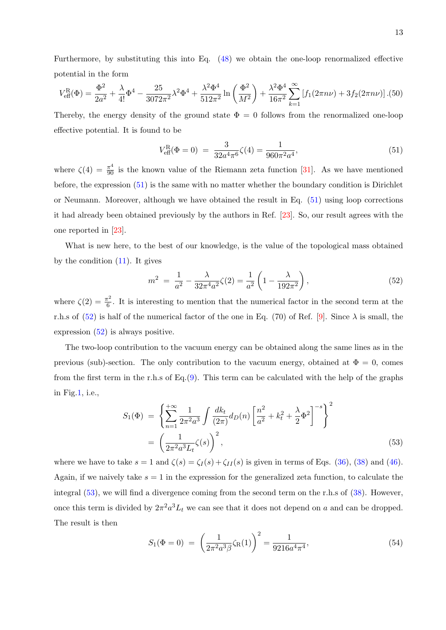Furthermore, by substituting this into Eq. [\(48\)](#page-11-2) we obtain the one-loop renormalized effective potential in the form

<span id="page-12-3"></span>
$$
V_{\text{eff}}^{\text{R}}(\Phi) = \frac{\Phi^2}{2a^2} + \frac{\lambda}{4!} \Phi^4 - \frac{25}{3072\pi^2} \lambda^2 \Phi^4 + \frac{\lambda^2 \Phi^4}{512\pi^2} \ln\left(\frac{\Phi^2}{M^2}\right) + \frac{\lambda^2 \Phi^4}{16\pi^2} \sum_{k=1}^{\infty} \left[ f_1(2\pi n\nu) + 3f_2(2\pi n\nu) \right].(50)
$$

Thereby, the energy density of the ground state  $\Phi = 0$  follows from the renormalized one-loop effective potential. It is found to be

<span id="page-12-0"></span>
$$
V_{\text{eff}}^{\text{R}}(\Phi = 0) = \frac{3}{32a^4 \pi^6} \zeta(4) = \frac{1}{960\pi^2 a^4},\tag{51}
$$

where  $\zeta(4) = \frac{\pi^4}{90}$  is the known value of the Riemann zeta function [\[31\]](#page-16-0). As we have mentioned before, the expression [\(51\)](#page-12-0) is the same with no matter whether the boundary condition is Dirichlet or Neumann. Moreover, although we have obtained the result in Eq. [\(51\)](#page-12-0) using loop corrections it had already been obtained previously by the authors in Ref. [\[23\]](#page-15-4). So, our result agrees with the one reported in [\[23\]](#page-15-4).

What is new here, to the best of our knowledge, is the value of the topological mass obtained by the condition [\(11\)](#page-4-2). It gives

<span id="page-12-1"></span>
$$
m^2 = \frac{1}{a^2} - \frac{\lambda}{32\pi^4 a^2} \zeta(2) = \frac{1}{a^2} \left( 1 - \frac{\lambda}{192\pi^2} \right),\tag{52}
$$

where  $\zeta(2) = \frac{\pi^2}{6}$  $\frac{\pi^2}{6}$ . It is interesting to mention that the numerical factor in the second term at the r.h.s of [\(52\)](#page-12-1) is half of the numerical factor of the one in Eq. (70) of Ref. [\[9\]](#page-14-9). Since  $\lambda$  is small, the expression [\(52\)](#page-12-1) is always positive.

The two-loop contribution to the vacuum energy can be obtained along the same lines as in the previous (sub)-section. The only contribution to the vacuum energy, obtained at  $\Phi = 0$ , comes from the first term in the r.h.s of Eq.[\(9\)](#page-4-1). This term can be calculated with the help of the graphs in Fig[.1,](#page-4-0) i.e.,

<span id="page-12-2"></span>
$$
S_1(\Phi) = \left\{ \sum_{n=1}^{+\infty} \frac{1}{2\pi^2 a^3} \int \frac{dk_t}{(2\pi)} d_D(n) \left[ \frac{n^2}{a^2} + k_t^2 + \frac{\lambda}{2} \Phi^2 \right]^{-s} \right\}^2
$$
  
=  $\left( \frac{1}{2\pi^2 a^3 L_t} \zeta(s) \right)^2$ , (53)

where we have to take  $s = 1$  and  $\zeta(s) = \zeta_I(s) + \zeta_{II}(s)$  is given in terms of Eqs. [\(36\)](#page-10-1), [\(38\)](#page-10-0) and [\(46\)](#page-11-3). Again, if we naively take  $s = 1$  in the expression for the generalized zeta function, to calculate the integral [\(53\)](#page-12-2), we will find a divergence coming from the second term on the r.h.s of [\(38\)](#page-10-0). However, once this term is divided by  $2\pi^2 a^3 L_t$  we can see that it does not depend on a and can be dropped. The result is then

<span id="page-12-4"></span>
$$
S_1(\Phi = 0) = \left(\frac{1}{2\pi^2 a^3 \beta} \zeta_R(1)\right)^2 = \frac{1}{9216a^4 \pi^4},\tag{54}
$$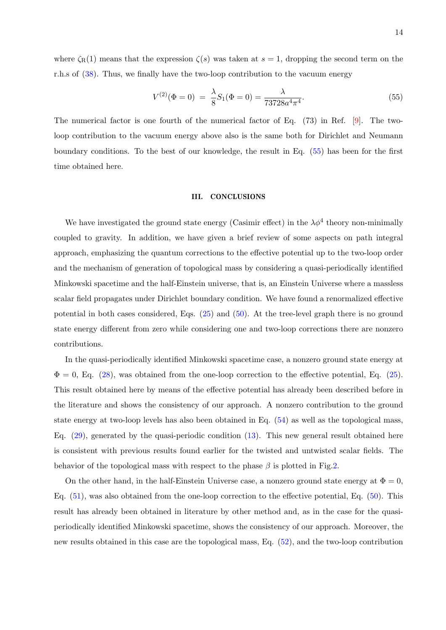where  $\zeta_R(1)$  means that the expression  $\zeta(s)$  was taken at  $s=1$ , dropping the second term on the r.h.s of [\(38\)](#page-10-0). Thus, we finally have the two-loop contribution to the vacuum energy

<span id="page-13-1"></span>
$$
V^{(2)}(\Phi = 0) = \frac{\lambda}{8} S_1(\Phi = 0) = \frac{\lambda}{73728a^4 \pi^4}.
$$
\n(55)

The numerical factor is one fourth of the numerical factor of Eq. (73) in Ref. [\[9\]](#page-14-9). The twoloop contribution to the vacuum energy above also is the same both for Dirichlet and Neumann boundary conditions. To the best of our knowledge, the result in Eq. [\(55\)](#page-13-1) has been for the first time obtained here.

#### <span id="page-13-0"></span>III. CONCLUSIONS

We have investigated the ground state energy (Casimir effect) in the  $\lambda \phi^4$  theory non-minimally coupled to gravity. In addition, we have given a brief review of some aspects on path integral approach, emphasizing the quantum corrections to the effective potential up to the two-loop order and the mechanism of generation of topological mass by considering a quasi-periodically identified Minkowski spacetime and the half-Einstein universe, that is, an Einstein Universe where a massless scalar field propagates under Dirichlet boundary condition. We have found a renormalized effective potential in both cases considered, Eqs. [\(25\)](#page-7-0) and [\(50\)](#page-12-3). At the tree-level graph there is no ground state energy different from zero while considering one and two-loop corrections there are nonzero contributions.

In the quasi-periodically identified Minkowski spacetime case, a nonzero ground state energy at  $\Phi = 0$ , Eq. [\(28\)](#page-7-2), was obtained from the one-loop correction to the effective potential, Eq. [\(25\)](#page-7-0). This result obtained here by means of the effective potential has already been described before in the literature and shows the consistency of our approach. A nonzero contribution to the ground state energy at two-loop levels has also been obtained in Eq. [\(54\)](#page-12-4) as well as the topological mass, Eq. [\(29\)](#page-7-3), generated by the quasi-periodic condition [\(13\)](#page-5-0). This new general result obtained here is consistent with previous results found earlier for the twisted and untwisted scalar fields. The behavior of the topological mass with respect to the phase  $\beta$  is plotted in Fig[.2.](#page-8-0)

On the other hand, in the half-Einstein Universe case, a nonzero ground state energy at  $\Phi = 0$ , Eq. [\(51\)](#page-12-0), was also obtained from the one-loop correction to the effective potential, Eq. [\(50\)](#page-12-3). This result has already been obtained in literature by other method and, as in the case for the quasiperiodically identified Minkowski spacetime, shows the consistency of our approach. Moreover, the new results obtained in this case are the topological mass, Eq. [\(52\)](#page-12-1), and the two-loop contribution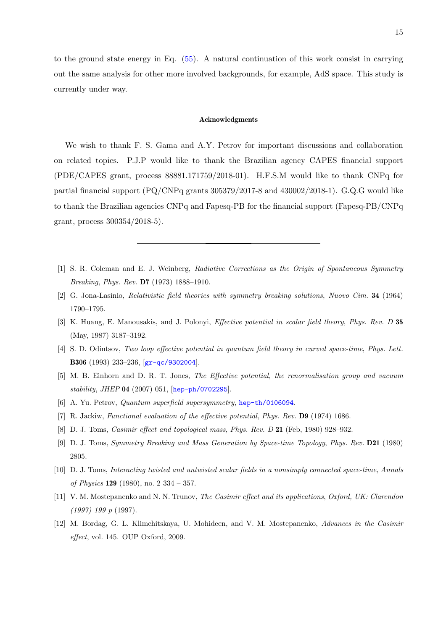to the ground state energy in Eq. [\(55\)](#page-13-1). A natural continuation of this work consist in carrying out the same analysis for other more involved backgrounds, for example, AdS space. This study is currently under way.

#### Acknowledgments

We wish to thank F. S. Gama and A.Y. Petrov for important discussions and collaboration on related topics. P.J.P would like to thank the Brazilian agency CAPES financial support (PDE/CAPES grant, process 88881.171759/2018-01). H.F.S.M would like to thank CNPq for partial financial support  $(PQ/CNPq$  grants 305379/2017-8 and 430002/2018-1). G.Q.G would like to thank the Brazilian agencies CNPq and Fapesq-PB for the financial support (Fapesq-PB/CNPq grant, process 300354/2018-5).

- <span id="page-14-0"></span>[1] S. R. Coleman and E. J. Weinberg, Radiative Corrections as the Origin of Spontaneous Symmetry Breaking, Phys. Rev. D7 (1973) 1888–1910.
- <span id="page-14-2"></span>[2] G. Jona-Lasinio, Relativistic field theories with symmetry breaking solutions, Nuovo Cim. 34 (1964) 1790–1795.
- <span id="page-14-1"></span>[3] K. Huang, E. Manousakis, and J. Polonyi, Effective potential in scalar field theory, Phys. Rev. D 35 (May, 1987) 3187–3192.
- <span id="page-14-3"></span>[4] S. D. Odintsov, Two loop effective potential in quantum field theory in curved space-time, Phys. Lett. B306 (1993) 233–236, [[gr-qc/9302004](http://xxx.lanl.gov/abs/gr-qc/9302004)].
- <span id="page-14-4"></span>[5] M. B. Einhorn and D. R. T. Jones, The Effective potential, the renormalisation group and vacuum stability, JHEP 04 (2007) 051, [[hep-ph/0702295](http://xxx.lanl.gov/abs/hep-ph/0702295)].
- <span id="page-14-6"></span><span id="page-14-5"></span>[6] A. Yu. Petrov, *Quantum superfield supersymmetry*, [hep-th/0106094](http://xxx.lanl.gov/abs/hep-th/0106094).
- <span id="page-14-7"></span>[7] R. Jackiw, Functional evaluation of the effective potential, Phys. Rev. D9 (1974) 1686.
- <span id="page-14-9"></span>[8] D. J. Toms, Casimir effect and topological mass, Phys. Rev. D 21 (Feb, 1980) 928–932.
- [9] D. J. Toms, Symmetry Breaking and Mass Generation by Space-time Topology, Phys. Rev. D21 (1980) 2805.
- <span id="page-14-8"></span>[10] D. J. Toms, Interacting twisted and untwisted scalar fields in a nonsimply connected space-time, Annals of Physics 129 (1980), no. 2 334 – 357.
- <span id="page-14-10"></span>[11] V. M. Mostepanenko and N. N. Trunov, The Casimir effect and its applications, Oxford, UK: Clarendon (1997) 199 p (1997).
- <span id="page-14-11"></span>[12] M. Bordag, G. L. Klimchitskaya, U. Mohideen, and V. M. Mostepanenko, Advances in the Casimir effect, vol. 145. OUP Oxford, 2009.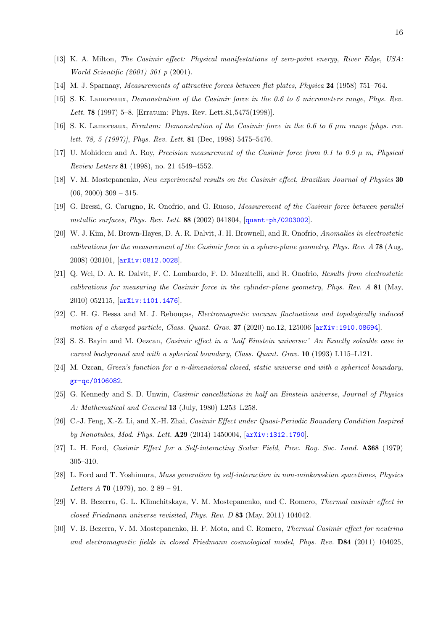- <span id="page-15-0"></span>[13] K. A. Milton, The Casimir effect: Physical manifestations of zero-point energy, River Edge, USA: World Scientific (2001) 301 p (2001).
- <span id="page-15-1"></span>[14] M. J. Sparnaay, Measurements of attractive forces between flat plates, Physica 24 (1958) 751–764.
- [15] S. K. Lamoreaux, Demonstration of the Casimir force in the 0.6 to 6 micrometers range, Phys. Rev. Lett. 78 (1997) 5–8. [Erratum: Phys. Rev. Lett.81,5475(1998)].
- [16] S. K. Lamoreaux, Erratum: Demonstration of the Casimir force in the 0.6 to 6 µm range [phys. rev. lett. 78, 5 (1997)], Phys. Rev. Lett. 81 (Dec, 1998) 5475–5476.
- [17] U. Mohideen and A. Roy, *Precision measurement of the Casimir force from 0.1 to 0.9*  $\mu$  *m, Physical* Review Letters 81 (1998), no. 21 4549–4552.
- [18] V. M. Mostepanenko, New experimental results on the Casimir effect, Brazilian Journal of Physics 30  $(06, 2000)$  309 – 315.
- [19] G. Bressi, G. Carugno, R. Onofrio, and G. Ruoso, Measurement of the Casimir force between parallel metallic surfaces, Phys. Rev. Lett. 88 (2002) 041804, [[quant-ph/0203002](http://xxx.lanl.gov/abs/quant-ph/0203002)].
- [20] W. J. Kim, M. Brown-Hayes, D. A. R. Dalvit, J. H. Brownell, and R. Onofrio, Anomalies in electrostatic calibrations for the measurement of the Casimir force in a sphere-plane geometry, Phys. Rev. A 78 (Aug, 2008) 020101, [[arXiv:0812.0028](http://xxx.lanl.gov/abs/0812.0028)].
- <span id="page-15-2"></span>[21] Q. Wei, D. A. R. Dalvit, F. C. Lombardo, F. D. Mazzitelli, and R. Onofrio, Results from electrostatic calibrations for measuring the Casimir force in the cylinder-plane geometry, Phys. Rev. A 81 (May, 2010) 052115, [[arXiv:1101.1476](http://xxx.lanl.gov/abs/1101.1476)].
- <span id="page-15-3"></span>[22] C. H. G. Bessa and M. J. Rebouças, *Electromagnetic vacuum fluctuations and topologically induced* motion of a charged particle, Class. Quant. Grav. **37** (2020) no.12, 125006 [[arXiv:1910.08694](http://xxx.lanl.gov/abs/1910.08694)].
- <span id="page-15-4"></span>[23] S. S. Bayin and M. Oezcan, Casimir effect in a 'half Einstein universe:' An Exactly solvable case in curved background and with a spherical boundary, Class. Quant. Grav. 10 (1993) L115–L121.
- [24] M. Ozcan, Green's function for a n-dimensional closed, static universe and with a spherical boundary, [gr-qc/0106082](http://xxx.lanl.gov/abs/gr-qc/0106082).
- <span id="page-15-5"></span>[25] G. Kennedy and S. D. Unwin, Casimir cancellations in half an Einstein universe, Journal of Physics A: Mathematical and General 13 (July, 1980) L253–L258.
- <span id="page-15-6"></span>[26] C.-J. Feng, X.-Z. Li, and X.-H. Zhai, Casimir Effect under Quasi-Periodic Boundary Condition Inspired by Nanotubes, Mod. Phys. Lett. A29 (2014) 1450004, [[arXiv:1312.1790](http://xxx.lanl.gov/abs/1312.1790)].
- <span id="page-15-7"></span>[27] L. H. Ford, Casimir Effect for a Self-interacting Scalar Field, Proc. Roy. Soc. Lond. A368 (1979) 305–310.
- [28] L. Ford and T. Yoshimura, Mass generation by self-interaction in non-minkowskian spacetimes, Physics Letters A 70 (1979), no.  $289 - 91$ .
- <span id="page-15-9"></span>[29] V. B. Bezerra, G. L. Klimchitskaya, V. M. Mostepanenko, and C. Romero, Thermal casimir effect in closed Friedmann universe revisited, Phys. Rev. D 83 (May, 2011) 104042.
- <span id="page-15-8"></span>[30] V. B. Bezerra, V. M. Mostepanenko, H. F. Mota, and C. Romero, Thermal Casimir effect for neutrino and electromagnetic fields in closed Friedmann cosmological model, Phys. Rev. D84 (2011) 104025,